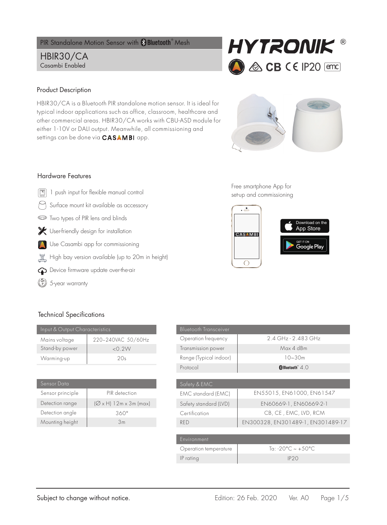PIR Standalone Motion Sensor with **& Bluetooth**<sup>®</sup> Mesh

# HBIR30/CA Casambi Enabled



## Product Description

HBIR30/CA is a Bluetooth PIR standalone motion sensor. It is ideal for typical indoor applications such as office, classroom, healthcare and other commercial areas. HBIR30/CA works with CBU-ASD module for either 1-10V or DALI output. Meanwhile, all commissioning and settings can be done via **CASAMBI** app.



### Hardware Features

- $\boxed{\textcircled{\tiny{\textsf{B}}}}$  1 push input for flexible manual control
- Surface mount kit available as accessory
- **ED** Two types of PIR lens and blinds
- User-friendly design for installation
- Use Casambi app for commissioning
- $\frac{1}{\sqrt{2}}$  High bay version available (up to 20m in height)
- $\bigodot$  Device firmware update over-the-air
- $\binom{5}{2}$  5-year warranty

Free smartphone App for set-up and commissioning



## Technical Specifications

| Input & Output Characteristics |                    |
|--------------------------------|--------------------|
| Mains voltage                  | 220~240VAC 50/60Hz |
| Stand-by power                 | $<$ 0.2W           |
| Warming-up                     | 2Ος                |

| Sensor Data      |                                         |
|------------------|-----------------------------------------|
| Sensor principle | PIR detection                           |
| Detection range  | $(\varnothing \times H)$ 12m x 3m (max) |
| Detection angle  | 360°                                    |
| Mounting height  | 3m                                      |

| <b>Bluetooth Transceiver</b> |                                   |  |
|------------------------------|-----------------------------------|--|
| Operation frequency          | 2.4 GHz - 2.483 GHz               |  |
| Transmission power           | Max 4 dBm                         |  |
| Range (Typical indoor)       | $10 - 30m$                        |  |
| Protocol                     | $\bigcirc$ Bluetooth $4.0$        |  |
|                              |                                   |  |
| Safety & EMC                 |                                   |  |
| <b>EMC</b> standard (EMC)    | EN55015, EN61000, EN61547         |  |
| Safety standard (LVD)        | EN60669-1, EN60669-2-1            |  |
| Certification                | CB, CE, EMC, LVD, RCM             |  |
| <b>RFD</b>                   | EN300328, EN301489-1, EN301489-17 |  |
|                              |                                   |  |
| Environment                  |                                   |  |
| Operation temperature        | Ta: -20°C ~ +50°C                 |  |
| IP rating                    | IP20                              |  |
|                              |                                   |  |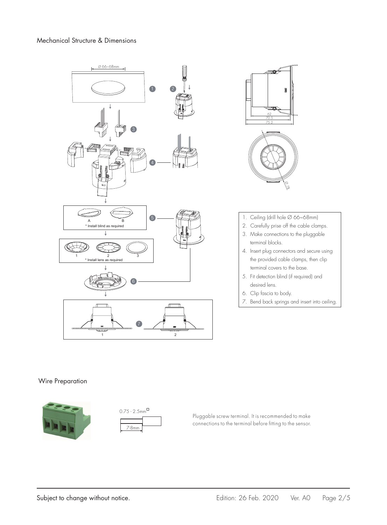



- 1. Ceiling (drill hole Ø 66~68mm)
- 2. Carefully prise off the cable clamps.
- 3. Make connections to the pluggable terminal blocks.
- 4. Insert plug connectors and secure using the provided cable clamps, then clip terminal covers to the base.
- 5. Fit detection blind (if required) and desired lens.
- 6. Clip fascia to body.
- 7. Bend back springs and insert into ceiling.

#### Wire Preparation





Pluggable screw terminal. It is recommended to make connections to the terminal before fitting to the sensor.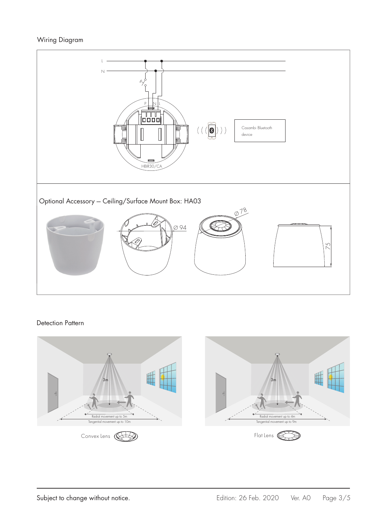# Wiring Diagram



## Detection Pattern

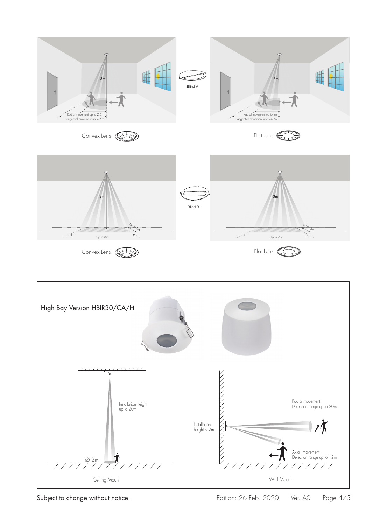

Subject to change without notice. The Subject to change without notice. The Subject of Feb. 2020 Ver. A0 Page 4/5